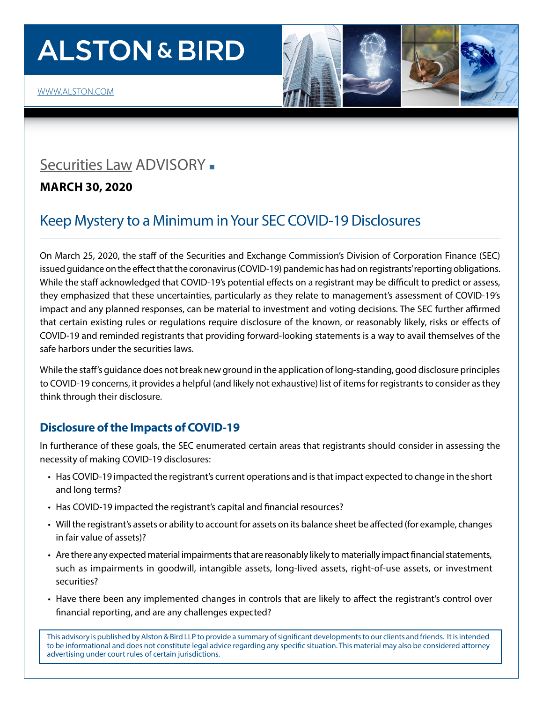# **ALSTON & BIRD**

## [Securities La](http://www.alston.com/services/corporate-finance/finance/corporate-securities/)w ADVISORY -

**MARCH 30, 2020** 

## Keep Mystery to a Minimum in Your SEC COVID-19 Disclosures

On March 25, 2020, the staff of the Securities and Exchange Commission's Division of Corporation Finance (SEC) issued guidance on the effect that the coronavirus (COVID-19) pandemic has had on registrants' reporting obligations. While the staff acknowledged that COVID-19's potential effects on a registrant may be difficult to predict or assess, they emphasized that these uncertainties, particularly as they relate to management's assessment of COVID-19's impact and any planned responses, can be material to investment and voting decisions. The SEC further affirmed that certain existing rules or regulations require disclosure of the known, or reasonably likely, risks or effects of COVID-19 and reminded registrants that providing forward-looking statements is a way to avail themselves of the safe harbors under the securities laws.

While the staff's guidance does not break new ground in the application of long-standing, good disclosure principles to COVID-19 concerns, it provides a helpful (and likely not exhaustive) list of items for registrants to consider as they think through their disclosure.

### **Disclosure of the Impacts of COVID-19**

In furtherance of these goals, the SEC enumerated certain areas that registrants should consider in assessing the necessity of making COVID-19 disclosures:

- Has COVID-19 impacted the registrant's current operations and is that impact expected to change in the short and long terms?
- Has COVID-19 impacted the registrant's capital and financial resources?
- Will the registrant's assets or ability to account for assets on its balance sheet be affected (for example, changes in fair value of assets)?
- Are there any expected material impairments that are reasonably likely to materially impact financial statements, such as impairments in goodwill, intangible assets, long-lived assets, right-of-use assets, or investment securities?
- Have there been any implemented changes in controls that are likely to affect the registrant's control over financial reporting, and are any challenges expected?

This advisory is published by Alston & Bird LLP to provide a summary of significant developments to our clients and friends. It is intended to be informational and does not constitute legal advice regarding any specific situation. This material may also be considered attorney advertising under court rules of certain jurisdictions.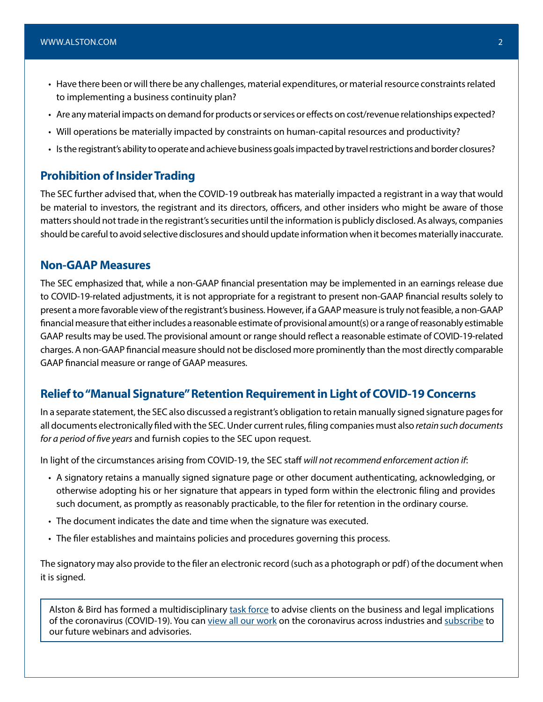- Have there been or will there be any challenges, material expenditures, or material resource constraints related to implementing a business continuity plan?
- Are any material impacts on demand for products or services or effects on cost/revenue relationships expected?
- Will operations be materially impacted by constraints on human-capital resources and productivity?
- Is the registrant's ability to operate and achieve business goals impacted by travel restrictions and border closures?

#### **Prohibition of Insider Trading**

The SEC further advised that, when the COVID-19 outbreak has materially impacted a registrant in a way that would be material to investors, the registrant and its directors, officers, and other insiders who might be aware of those matters should not trade in the registrant's securities until the information is publicly disclosed. As always, companies should be careful to avoid selective disclosures and should update information when it becomes materially inaccurate.

#### **Non-GAAP Measures**

The SEC emphasized that, while a non-GAAP financial presentation may be implemented in an earnings release due to COVID-19-related adjustments, it is not appropriate for a registrant to present non-GAAP financial results solely to present a more favorable view of the registrant's business. However, if a GAAP measure is truly not feasible, a non-GAAP financial measure that either includes a reasonable estimate of provisional amount(s) or a range of reasonably estimable GAAP results may be used. The provisional amount or range should reflect a reasonable estimate of COVID-19-related charges. A non-GAAP financial measure should not be disclosed more prominently than the most directly comparable GAAP financial measure or range of GAAP measures.

#### **Relief to "Manual Signature" Retention Requirement in Light of COVID-19 Concerns**

In a separate statement, the SEC also discussed a registrant's obligation to retain manually signed signature pages for all documents electronically filed with the SEC. Under current rules, filing companies must also *retain such documents for a period of five years* and furnish copies to the SEC upon request.

In light of the circumstances arising from COVID-19, the SEC staff *will not recommend enforcement action if*:

- A signatory retains a manually signed signature page or other document authenticating, acknowledging, or otherwise adopting his or her signature that appears in typed form within the electronic filing and provides such document, as promptly as reasonably practicable, to the filer for retention in the ordinary course.
- The document indicates the date and time when the signature was executed.
- The filer establishes and maintains policies and procedures governing this process.

The signatory may also provide to the filer an electronic record (such as a photograph or pdf) of the document when it is signed.

Alston & Bird has formed a multidisciplinary [task force](https://www.alston.com/en/resources/coronavirus/overview) to advise clients on the business and legal implications of the coronavirus (COVID-19). You can [view all our work](https://www.alston.com/en/insights/?keyword=Coronavirus&reload=false&scroll=499.7685546875) on the coronavirus across industries and [subscribe](https://www.alston.com/en/resources/subscriptions-form) to our future webinars and advisories.